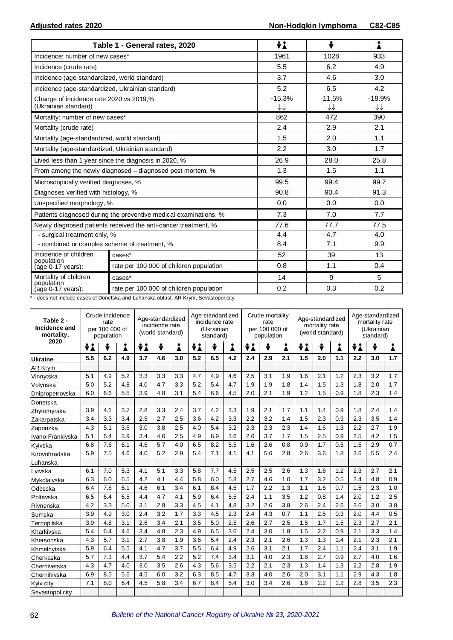|                                                                 | Table 1 - General rates, 2020                                    | ÷i                                 | ÷              | i              |
|-----------------------------------------------------------------|------------------------------------------------------------------|------------------------------------|----------------|----------------|
| Incidence: number of new cases*                                 |                                                                  | 1961                               | 1028           | 933            |
| Incidence (crude rate)                                          |                                                                  | 5.5                                | 6.2            | 4.9            |
| Incidence (age-standardized, world standard)                    |                                                                  | 3.7                                | 4.6            | 3.0            |
| Incidence (age-standardized, Ukrainian standard)                |                                                                  | 5.2                                | 6.5            | 4.2            |
| Change of incidence rate 2020 vs 2019,%<br>(Ukrainian standard) |                                                                  | $-15.3%$<br>$\downarrow\downarrow$ | $-11.5%$<br>↓↓ | $-18.9%$<br>↓↓ |
| Mortality: number of new cases*                                 |                                                                  | 862                                | 472            | 390            |
| Mortality (crude rate)                                          |                                                                  | 2.4                                | 2.9            | 2.1            |
| Mortality (age-standardized, world standard)                    |                                                                  | 1.5                                | 2.0            | 1.1            |
| Mortality (age-standardized, Ukrainian standard)                |                                                                  | 2.2                                | 3.0            | 1.7            |
|                                                                 | Lived less than 1 year since the diagnosis in 2020, %            | 26.9                               | 28.0           | 25.8           |
|                                                                 | From among the newly diagnosed – diagnosed post mortem, %        | 1.3                                | 1.5            | 1.1            |
| Microscopically verified diagnoses, %                           |                                                                  | 99.5                               | 99.4           | 99.7           |
| Diagnoses verified with histology, %                            |                                                                  | 90.8                               | 90.4           | 91.3           |
| Unspecified morphology, %                                       |                                                                  | 0.0                                | 0.0            | 0.0            |
|                                                                 | Patients diagnosed during the preventive medical examinations, % | 7.3                                | 7.0            | 7.7            |
|                                                                 | Newly diagnosed patients received the anti-cancer treatment, %   | 77.6                               | 77.7           | 77.5           |
| - surgical treatment only, %                                    |                                                                  | 4.4                                | 4.7            | 4.0            |
| - combined or complex scheme of treatment, %                    |                                                                  | 8.4                                | 7.1            | 9.9            |
| Incidence of children<br>population                             | cases*                                                           | 52                                 | 39             | 13             |
| (age 0-17 years):                                               | rate per 100 000 of children population                          | 0.8                                | 1.1            | 0.4            |
| Mortality of children                                           | cases*                                                           | 14                                 | 9              | 5              |
| population<br>(age 0-17 years):                                 | rate per 100 000 of children population                          | 0.2                                | 0.3            | 0.2            |

\* - does not include cases of Donetska and Luhanska oblast, AR Krym, Sevastopol city

| Table 2 -<br>Incidence and<br>mortality, | Crude incidence<br>rate<br>per 100 000 of<br>population |     |     |     | Age-standardized<br>incidence rate<br>(world standard) |     |     | Age-standardized<br>incidence rate<br>(Ukrainian<br>standard) |     |     | Crude mortality<br>rate<br>per 100 000 of<br>population |     |     | Age-standardized<br>mortality rate<br>(world standard) |     |     | Age-standardized<br>mortality rate<br>(Ukrainian<br>standard) |     |  |
|------------------------------------------|---------------------------------------------------------|-----|-----|-----|--------------------------------------------------------|-----|-----|---------------------------------------------------------------|-----|-----|---------------------------------------------------------|-----|-----|--------------------------------------------------------|-----|-----|---------------------------------------------------------------|-----|--|
| 2020                                     | ÷i                                                      | ÷   | i   | ÷i  | ÷                                                      | Å   | ÷i  | ÷                                                             | Å   | ÷i  |                                                         | Å   | ÷i  | ÷<br>Å                                                 |     | ÷i  | ÷                                                             |     |  |
| Ukraine                                  | 5.5                                                     | 6.2 | 4.9 | 3.7 | 4.6                                                    | 3.0 | 5.2 | 6.5                                                           | 4.2 | 2.4 | 2.9                                                     | 2.1 | 1.5 | 2.0                                                    | 1.1 | 2.2 | 3.0                                                           | 1.7 |  |
| AR Krym                                  |                                                         |     |     |     |                                                        |     |     |                                                               |     |     |                                                         |     |     |                                                        |     |     |                                                               |     |  |
| Vinnytska                                | 5.1                                                     | 4.9 | 5.2 | 3.3 | 3.3                                                    | 3.3 | 4.7 | 4.9                                                           | 4.6 | 2.5 | 3.1                                                     | 1.9 | 1.6 | 2.1                                                    | 1.2 | 2.3 | 3.2                                                           | 1.7 |  |
| Volynska                                 | 5.0                                                     | 5.2 | 4.8 | 4.0 | 4.7                                                    | 3.3 | 5.2 | 5.4                                                           | 4.7 | 1.9 | 1.9                                                     | 1.8 | 1.4 | 1.5                                                    | 1.3 | 1.8 | 2.0                                                           | 1.7 |  |
| Dnipropetrovska                          | 6.0                                                     | 6.6 | 5.5 | 3.9 | 4.8                                                    | 3.1 | 5.4 | 6.6                                                           | 4.5 | 2.0 | 2.1                                                     | 1.9 | 1.2 | 1.5                                                    | 0.9 | 1.8 | 2.3                                                           | 1.4 |  |
| Donetska                                 |                                                         |     |     |     |                                                        |     |     |                                                               |     |     |                                                         |     |     |                                                        |     |     |                                                               |     |  |
| Zhytomyrska                              | 3.9                                                     | 4.1 | 3.7 | 2.8 | 3.3                                                    | 2.4 | 3.7 | 4.2                                                           | 3.3 | 1.9 | 2.1                                                     | 1.7 | 1.1 | 1.4                                                    | 0.9 | 1.8 | 2.4                                                           | 1.4 |  |
| Zakarpatska                              | 3.4                                                     | 3.3 | 3.4 | 2.5 | 2.7                                                    | 2.5 | 3.6 | 4.2                                                           | 3.3 | 2.2 | 3.2                                                     | 1.4 | 1.5 | 2.3                                                    | 0.9 | 2.3 | 3.5                                                           | 1.4 |  |
| Zaporizka                                | 4.3                                                     | 5.1 | 3.6 | 3.0 | 3.8                                                    | 2.5 | 4.0 | 5.4                                                           | 3.2 | 2.3 | 2.3                                                     | 2.3 | 1.4 | 1.6                                                    | 1.3 | 2.2 | 2.7                                                           | 1.9 |  |
| Ivano-Frankivska                         | 5.1                                                     | 6.4 | 3.9 | 3.4 | 4.6                                                    | 2.5 | 4.9 | 6.9                                                           | 3.6 | 2.6 | 3.7                                                     | 1.7 | 1.5 | 2.5                                                    | 0.9 | 2.5 | 4.2                                                           | 1.5 |  |
| Kvivska                                  | 6.8                                                     | 7.6 | 6.1 | 4.6 | 5.7                                                    | 4.0 | 6.5 | 8.2                                                           | 5.5 | 1.6 | 2.6                                                     | 0.8 | 0.9 | 1.7                                                    | 0.5 | 1.5 | 2.9                                                           | 0.7 |  |
| Kirovohradska                            | 5.9                                                     | 7.5 | 4.6 | 4.0 | 5.2                                                    | 2.9 | 5.4 | 7.1                                                           | 4.1 | 4.1 | 5.6                                                     | 2.8 | 2.6 | 3.6                                                    | 1.8 | 3.6 | 5.5                                                           | 2.4 |  |
| Luhanska                                 |                                                         |     |     |     |                                                        |     |     |                                                               |     |     |                                                         |     |     |                                                        |     |     |                                                               |     |  |
| Lvivska                                  | 6.1                                                     | 7.0 | 5.3 | 4.1 | 5.1                                                    | 3.3 | 5.8 | 7.7                                                           | 4.5 | 2.5 | 2.5                                                     | 2.6 | 1.3 | 1.6                                                    | 1.2 | 2.3 | 2.7                                                           | 2.1 |  |
| Mykolaivska                              | 6.3                                                     | 6.0 | 6.5 | 4.2 | 4.1                                                    | 4.4 | 5.8 | 6.0                                                           | 5.8 | 2.7 | 4.6                                                     | 1.0 | 1.7 | 3.2                                                    | 0.5 | 2.4 | 4.8                                                           | 0.9 |  |
| Odesska                                  | 6.4                                                     | 7.8 | 5.1 | 4.6 | 6.1                                                    | 3.4 | 6.1 | 8.4                                                           | 4.5 | 1.7 | 2.2                                                     | 1.3 | 1.1 | 1.6                                                    | 0.7 | 1.5 | 2.3                                                           | 1.0 |  |
| Poltavska                                | 6.5                                                     | 6.4 | 6.5 | 4.4 | 4.7                                                    | 4.1 | 5.9 | 6.4                                                           | 5.5 | 2.4 | 1.1                                                     | 3.5 | 1.2 | 0.8                                                    | 1.4 | 2.0 | 1.2                                                           | 2.5 |  |
| Rivnenska                                | 4.2                                                     | 3.3 | 5.0 | 3.1 | 2.8                                                    | 3.3 | 4.5 | 4.1                                                           | 4.8 | 3.2 | 2.6                                                     | 3.8 | 2.6 | 2.4                                                    | 2.6 | 3.6 | 3.0                                                           | 3.8 |  |
| Sumska                                   | 3.9                                                     | 4.9 | 3.0 | 2.4 | 3.2                                                    | 1.7 | 3.3 | 4.5                                                           | 2.3 | 2.4 | 4.3                                                     | 0.7 | 1.1 | 2.5                                                    | 0.3 | 2.0 | 4.4                                                           | 0.5 |  |
| Ternopilska                              | 3.9                                                     | 4.8 | 3.1 | 2.6 | 3.4                                                    | 2.1 | 3.5 | 5.0                                                           | 2.5 | 2.6 | 2.7                                                     | 2.5 | 1.5 | 1.7                                                    | 1.5 | 2.3 | 2.7                                                           | 2.1 |  |
| Kharkivska                               | 5.4                                                     | 6.4 | 4.6 | 3.4 | 4.8                                                    | 2.3 | 4.9 | 6.5                                                           | 3.6 | 2.4 | 3.0                                                     | 1.8 | 1.5 | 2.2                                                    | 0.9 | 2.1 | 3.3                                                           | 1.4 |  |
| Khersonska                               | 4.3                                                     | 5.7 | 3.1 | 2.7 | 3.8                                                    | 1.9 | 3.6 | 5.4                                                           | 2.4 | 2.3 | 2.1                                                     | 2.6 | 1.3 | 1.3                                                    | 1.4 | 2.1 | 2.3                                                           | 2.1 |  |
| Khmelnytska                              | 5.9                                                     | 6.4 | 5.5 | 4.1 | 4.7                                                    | 3.7 | 5.5 | 6.4                                                           | 4.9 | 2.6 | 3.1                                                     | 2.1 | 1.7 | 2.4                                                    | 1.1 | 2.4 | 3.1                                                           | 1.9 |  |
| Cherkaska                                | 5.7                                                     | 7.3 | 4.4 | 3.7 | 5.4                                                    | 2.2 | 5.2 | 7.4                                                           | 3.4 | 3.1 | 4.0                                                     | 2.3 | 1.8 | 2.7                                                    | 0.9 | 2.7 | 4.0                                                           | 1.6 |  |
| Chernivetska                             | 4.3                                                     | 4.7 | 4.0 | 3.0 | 3.5                                                    | 2.6 | 4.3 | 5.6                                                           | 3.5 | 2.2 | 2.1                                                     | 2.3 | 1.3 | 1.4                                                    | 1.3 | 2.2 | 2.8                                                           | 1.9 |  |
| Chernihivska                             | 6.9                                                     | 8.5 | 5.6 | 4.5 | 6.0                                                    | 3.2 | 6.3 | 8.5                                                           | 4.7 | 3.3 | 4.0                                                     | 2.6 | 2.0 | 3.1                                                    | 1.1 | 2.9 | 4.3                                                           | 1.8 |  |
| Kyiv city                                | 7.1                                                     | 8.0 | 6.4 | 4.5 | 5.8                                                    | 3.4 | 6.7 | 8.4                                                           | 5.4 | 3.0 | 3.4                                                     | 2.6 | 1.6 | 2.2                                                    | 1.2 | 2.8 | 3.5                                                           | 2.3 |  |
| Sevastopol city                          |                                                         |     |     |     |                                                        |     |     |                                                               |     |     |                                                         |     |     |                                                        |     |     |                                                               |     |  |